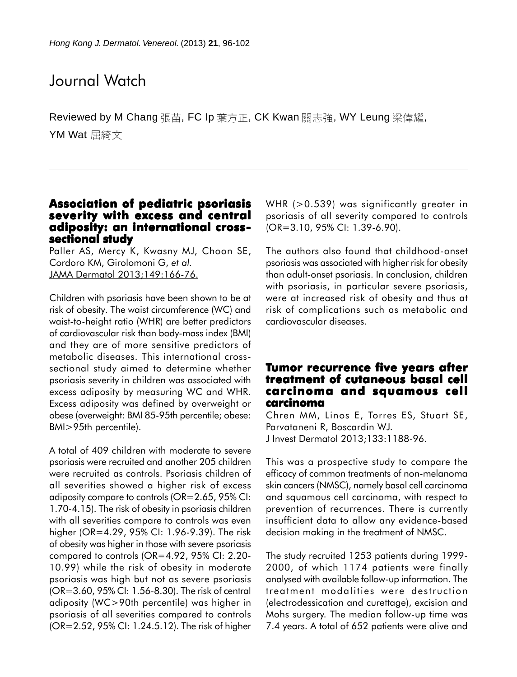# Journal Watch

Reviewed by M Chang 張苗, FC Ip 葉方正, CK Kwan 關志強, WY Leung 梁偉耀, YM Wat 屈綺文

## **Association of pediatric psoriasis severity with excess and central cess adiposity: an international crosssectional study**

Paller AS, Mercy K, Kwasny MJ, Choon SE, Cordoro KM, Girolomoni G, *et al.* JAMA Dermatol 2013;149:166-76.

Children with psoriasis have been shown to be at risk of obesity. The waist circumference (WC) and waist-to-height ratio (WHR) are better predictors of cardiovascular risk than body-mass index (BMI) and they are of more sensitive predictors of metabolic diseases. This international crosssectional study aimed to determine whether psoriasis severity in children was associated with excess adiposity by measuring WC and WHR. Excess adiposity was defined by overweight or obese (overweight: BMI 85-95th percentile; obese: BMI>95th percentile).

A total of 409 children with moderate to severe psoriasis were recruited and another 205 children were recruited as controls. Psoriasis children of all severities showed a higher risk of excess adiposity compare to controls (OR=2.65, 95% CI: 1.70-4.15). The risk of obesity in psoriasis children with all severities compare to controls was even higher (OR=4.29, 95% CI: 1.96-9.39). The risk of obesity was higher in those with severe psoriasis compared to controls (OR=4.92, 95% CI: 2.20- 10.99) while the risk of obesity in moderate psoriasis was high but not as severe psoriasis (OR=3.60, 95% CI: 1.56-8.30). The risk of central adiposity (WC>90th percentile) was higher in psoriasis of all severities compared to controls (OR=2.52, 95% CI: 1.24.5.12). The risk of higher

WHR (>0.539) was significantly greater in psoriasis of all severity compared to controls (OR=3.10, 95% CI: 1.39-6.90).

The authors also found that childhood-onset psoriasis was associated with higher risk for obesity than adult-onset psoriasis. In conclusion, children with psoriasis, in particular severe psoriasis, were at increased risk of obesity and thus at risk of complications such as metabolic and cardiovascular diseases.

#### **Tumor recurrence five years after treatment of cutaneous basal cell of cutaneous basal cell carcinoma and squamous cell and squamous cell carcinoma**

Chren MM, Linos E, Torres ES, Stuart SE, Parvataneni R, Boscardin WJ. J Invest Dermatol 2013;133:1188-96.

This was a prospective study to compare the efficacy of common treatments of non-melanoma skin cancers (NMSC), namely basal cell carcinoma and squamous cell carcinoma, with respect to prevention of recurrences. There is currently insufficient data to allow any evidence-based decision making in the treatment of NMSC.

The study recruited 1253 patients during 1999- 2000, of which 1174 patients were finally analysed with available follow-up information. The treatment modalities were destruction (electrodessication and curettage), excision and Mohs surgery. The median follow-up time was 7.4 years. A total of 652 patients were alive and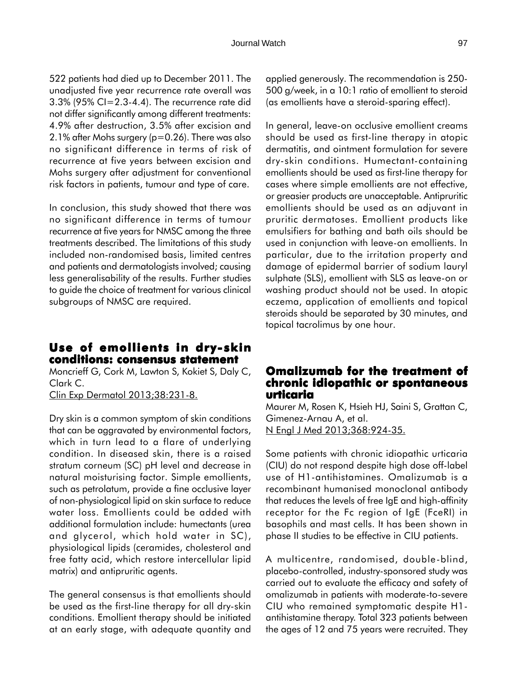522 patients had died up to December 2011. The unadjusted five year recurrence rate overall was 3.3% (95% CI=2.3-4.4). The recurrence rate did not differ significantly among different treatments: 4.9% after destruction, 3.5% after excision and 2.1% after Mohs surgery (p=0.26). There was also no significant difference in terms of risk of recurrence at five years between excision and Mohs surgery after adjustment for conventional risk factors in patients, tumour and type of care.

In conclusion, this study showed that there was no significant difference in terms of tumour recurrence at five years for NMSC among the three treatments described. The limitations of this study included non-randomised basis, limited centres and patients and dermatologists involved; causing less generalisability of the results. Further studies to guide the choice of treatment for various clinical subgroups of NMSC are required.

# **Use of emollients in dry- skin conditions: consensus statement conditions: statement**

Moncrieff G, Cork M, Lawton S, Kokiet S, Daly C, Clark C.

Clin Exp Dermatol 2013;38:231-8.

Dry skin is a common symptom of skin conditions that can be aggravated by environmental factors, which in turn lead to a flare of underlying condition. In diseased skin, there is a raised stratum corneum (SC) pH level and decrease in natural moisturising factor. Simple emollients, such as petrolatum, provide a fine occlusive layer of non-physiological lipid on skin surface to reduce water loss. Emollients could be added with additional formulation include: humectants (urea and glycerol, which hold water in SC), physiological lipids (ceramides, cholesterol and free fatty acid, which restore intercellular lipid matrix) and antipruritic agents.

The general consensus is that emollients should be used as the first-line therapy for all dry-skin conditions. Emollient therapy should be initiated at an early stage, with adequate quantity and applied generously. The recommendation is 250- 500 g/week, in a 10:1 ratio of emollient to steroid (as emollients have a steroid-sparing effect).

In general, leave-on occlusive emollient creams should be used as first-line therapy in atopic dermatitis, and ointment formulation for severe dry-skin conditions. Humectant-containing emollients should be used as first-line therapy for cases where simple emollients are not effective, or greasier products are unacceptable. Antipruritic emollients should be used as an adjuvant in pruritic dermatoses. Emollient products like emulsifiers for bathing and bath oils should be used in conjunction with leave-on emollients. In particular, due to the irritation property and damage of epidermal barrier of sodium lauryl sulphate (SLS), emollient with SLS as leave-on or washing product should not be used. In atopic eczema, application of emollients and topical steroids should be separated by 30 minutes, and topical tacrolimus by one hour.

#### **Omalizumab for the treatment of chronic idiopathic or spontaneous urticaria**

Maurer M, Rosen K, Hsieh HJ, Saini S, Grattan C, Gimenez-Arnau A, et al. N Engl J Med 2013;368:924-35.

Some patients with chronic idiopathic urticaria (CIU) do not respond despite high dose off-label use of H1-antihistamines. Omalizumab is a recombinant humanised monoclonal antibody that reduces the levels of free IgE and high-affinity receptor for the Fc region of IgE (FceRI) in basophils and mast cells. It has been shown in phase II studies to be effective in CIU patients.

A multicentre, randomised, double-blind, placebo-controlled, industry-sponsored study was carried out to evaluate the efficacy and safety of omalizumab in patients with moderate-to-severe CIU who remained symptomatic despite H1 antihistamine therapy. Total 323 patients between the ages of 12 and 75 years were recruited. They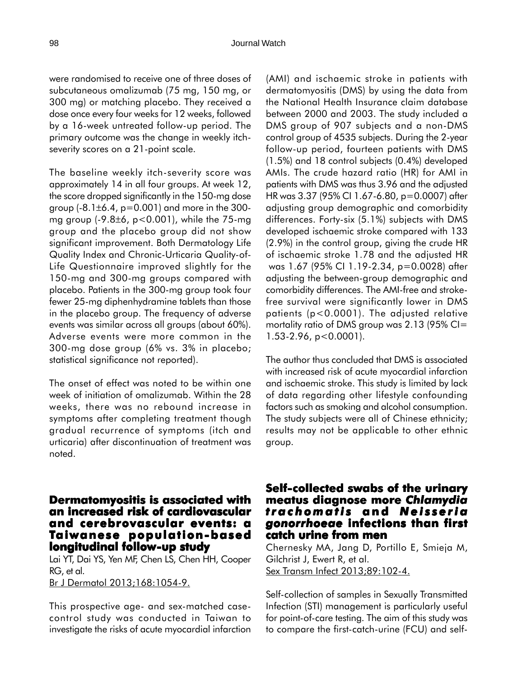were randomised to receive one of three doses of subcutaneous omalizumab (75 mg, 150 mg, or 300 mg) or matching placebo. They received a dose once every four weeks for 12 weeks, followed by a 16-week untreated follow-up period. The primary outcome was the change in weekly itchseverity scores on a 21-point scale.

The baseline weekly itch-severity score was approximately 14 in all four groups. At week 12, the score dropped significantly in the 150-mg dose group  $(-8.1 \pm 6.4, p=0.001)$  and more in the 300mg group (-9.8±6, p<0.001), while the 75-mg group and the placebo group did not show significant improvement. Both Dermatology Life Quality Index and Chronic-Urticaria Quality-of-Life Questionnaire improved slightly for the 150-mg and 300-mg groups compared with placebo. Patients in the 300-mg group took four fewer 25-mg diphenhydramine tablets than those in the placebo group. The frequency of adverse events was similar across all groups (about 60%). Adverse events were more common in the 300-mg dose group (6% vs. 3% in placebo; statistical significance not reported).

The onset of effect was noted to be within one week of initiation of omalizumab. Within the 28 weeks, there was no rebound increase in symptoms after completing treatment though gradual recurrence of symptoms (itch and urticaria) after discontinuation of treatment was noted.

## **Dermatomyositis is associated with an increased risk of cardiovascular and cerebrovascular events: a Taiwanese population-based longitudinal follow-up study**

Lai YT, Dai YS, Yen MF, Chen LS, Chen HH, Cooper RG, et al.

Br J Dermatol 2013;168:1054-9.

This prospective age- and sex-matched casecontrol study was conducted in Taiwan to investigate the risks of acute myocardial infarction (AMI) and ischaemic stroke in patients with dermatomyositis (DMS) by using the data from the National Health Insurance claim database between 2000 and 2003. The study included a DMS group of 907 subjects and a non-DMS control group of 4535 subjects. During the 2-year follow-up period, fourteen patients with DMS (1.5%) and 18 control subjects (0.4%) developed AMIs. The crude hazard ratio (HR) for AMI in patients with DMS was thus 3.96 and the adjusted HR was 3.37 (95% CI 1.67-6.80, p=0.0007) after adjusting group demographic and comorbidity differences. Forty-six (5.1%) subjects with DMS developed ischaemic stroke compared with 133 (2.9%) in the control group, giving the crude HR of ischaemic stroke 1.78 and the adjusted HR was 1.67 (95% CI 1.19-2.34, p=0.0028) after adjusting the between-group demographic and comorbidity differences. The AMI-free and strokefree survival were significantly lower in DMS patients (p<0.0001). The adjusted relative mortality ratio of DMS group was  $2.13$  (95% CI= 1.53-2.96, p<0.0001).

The author thus concluded that DMS is associated with increased risk of acute myocardial infarction and ischaemic stroke. This study is limited by lack of data regarding other lifestyle confounding factors such as smoking and alcohol consumption. The study subjects were all of Chinese ethnicity; results may not be applicable to other ethnic group.

#### **Self-collected swabs of the urinary meatus diagnose more meatus more** *Chlamydia trachomatis* **and** *Neisseria gonorrhoeae* **infections than first infections first catch urine from men**

Chernesky MA, Jang D, Portillo E, Smieja M, Gilchrist J, Ewert R, et al. Sex Transm Infect 2013;89:102-4.

Self-collection of samples in Sexually Transmitted Infection (STI) management is particularly useful for point-of-care testing. The aim of this study was to compare the first-catch-urine (FCU) and self-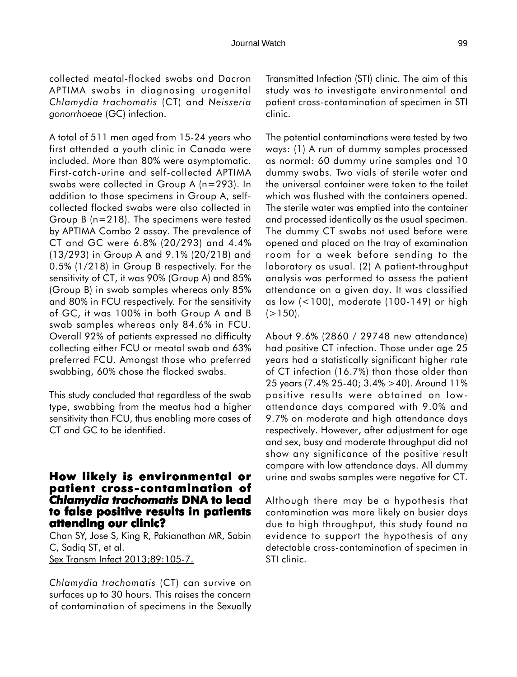collected meatal-flocked swabs and Dacron APTIMA swabs in diagnosing urogenital *Chlamydia trachomatis* (CT) and *Neisseria gonorrhoeae* (GC) infection.

A total of 511 men aged from 15-24 years who first attended a youth clinic in Canada were included. More than 80% were asymptomatic. First-catch-urine and self-collected APTIMA swabs were collected in Group A (n=293). In addition to those specimens in Group A, selfcollected flocked swabs were also collected in Group B (n=218). The specimens were tested by APTIMA Combo 2 assay. The prevalence of CT and GC were 6.8% (20/293) and 4.4% (13/293) in Group A and 9.1% (20/218) and 0.5% (1/218) in Group B respectively. For the sensitivity of CT, it was 90% (Group A) and 85% (Group B) in swab samples whereas only 85% and 80% in FCU respectively. For the sensitivity of GC, it was 100% in both Group A and B swab samples whereas only 84.6% in FCU. Overall 92% of patients expressed no difficulty collecting either FCU or meatal swab and 63% preferred FCU. Amongst those who preferred swabbing, 60% chose the flocked swabs.

This study concluded that regardless of the swab type, swabbing from the meatus had a higher sensitivity than FCU, thus enabling more cases of CT and GC to be identified.

#### **How likely is environmental or patient cross-contamination of contamination of** *Chlamydia trachomatis* **DNA to lead to false positive results in patients attending our clinic?**

Chan SY, Jose S, King R, Pakianathan MR, Sabin C, Sadiq ST, et al. Sex Transm Infect 2013;89:105-7.

*Chlamydia trachomatis* (CT) can survive on surfaces up to 30 hours. This raises the concern of contamination of specimens in the Sexually Transmitted Infection (STI) clinic. The aim of this study was to investigate environmental and patient cross-contamination of specimen in STI clinic.

The potential contaminations were tested by two ways: (1) A run of dummy samples processed as normal: 60 dummy urine samples and 10 dummy swabs. Two vials of sterile water and the universal container were taken to the toilet which was flushed with the containers opened. The sterile water was emptied into the container and processed identically as the usual specimen. The dummy CT swabs not used before were opened and placed on the tray of examination room for a week before sending to the laboratory as usual. (2) A patient-throughput analysis was performed to assess the patient attendance on a given day. It was classified as low (<100), moderate (100-149) or high  $(>150)$ .

About 9.6% (2860 / 29748 new attendance) had positive CT infection. Those under age 25 years had a statistically significant higher rate of CT infection (16.7%) than those older than 25 years (7.4% 25-40; 3.4% >40). Around 11% positive results were obtained on lowattendance days compared with 9.0% and 9.7% on moderate and high attendance days respectively. However, after adjustment for age and sex, busy and moderate throughput did not show any significance of the positive result compare with low attendance days. All dummy urine and swabs samples were negative for CT.

Although there may be a hypothesis that contamination was more likely on busier days due to high throughput, this study found no evidence to support the hypothesis of any detectable cross-contamination of specimen in STI clinic.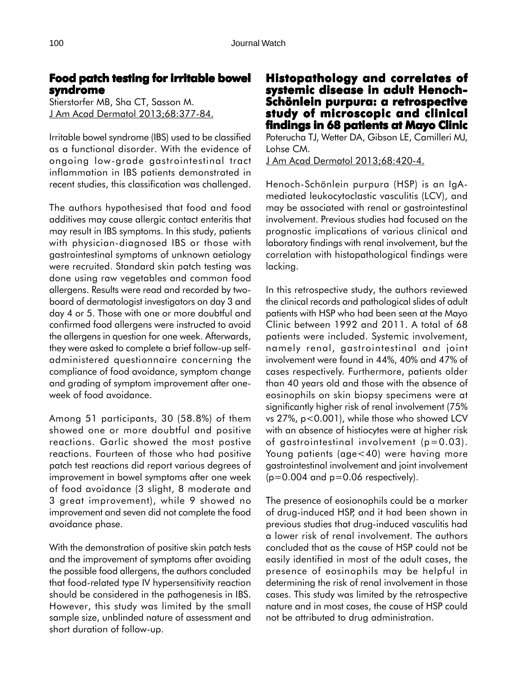# **Food patch testing for irritable bowel for irritable syndrome**

Stierstorfer MB, Sha CT, Sasson M. J Am Acad Dermatol 2013;68:377-84.

Irritable bowel syndrome (IBS) used to be classified as a functional disorder. With the evidence of ongoing low-grade gastrointestinal tract inflammation in IBS patients demonstrated in recent studies, this classification was challenged.

The authors hypothesised that food and food additives may cause allergic contact enteritis that may result in IBS symptoms. In this study, patients with physician-diagnosed IBS or those with gastrointestinal symptoms of unknown aetiology were recruited. Standard skin patch testing was done using raw vegetables and common food allergens. Results were read and recorded by twoboard of dermatologist investigators on day 3 and day 4 or 5. Those with one or more doubtful and confirmed food allergens were instructed to avoid the allergens in question for one week. Afterwards, they were asked to complete a brief follow-up selfadministered questionnaire concerning the compliance of food avoidance, symptom change and grading of symptom improvement after oneweek of food avoidance.

Among 51 participants, 30 (58.8%) of them showed one or more doubtful and positive reactions. Garlic showed the most postive reactions. Fourteen of those who had positive patch test reactions did report various degrees of improvement in bowel symptoms after one week of food avoidance (3 slight, 8 moderate and 3 great improvement), while 9 showed no improvement and seven did not complete the food avoidance phase.

With the demonstration of positive skin patch tests and the improvement of symptoms after avoiding the possible food allergens, the authors concluded that food-related type IV hypersensitivity reaction should be considered in the pathogenesis in IBS. However, this study was limited by the small sample size, unblinded nature of assessment and short duration of follow-up.

# **Histopathology and correlates of and of systemic disease in adult Henoch-Schönlein purpura: a retrospective study of microscopic and clinical study of microscopic and clinical findings in 68 patients at Mayo Clinic**

Poterucha TJ, Wetter DA, Gibson LE, Camilleri MJ, Lohse CM.

J Am Acad Dermatol 2013;68:420-4.

Henoch-Schönlein purpura (HSP) is an IgAmediated leukocytoclastic vasculitis (LCV), and may be associated with renal or gastrointestinal involvement. Previous studies had focused on the prognostic implications of various clinical and laboratory findings with renal involvement, but the correlation with histopathological findings were lacking.

In this retrospective study, the authors reviewed the clinical records and pathological slides of adult patients with HSP who had been seen at the Mayo Clinic between 1992 and 2011. A total of 68 patients were included. Systemic involvement, namely renal, gastrointestinal and joint involvement were found in 44%, 40% and 47% of cases respectively. Furthermore, patients older than 40 years old and those with the absence of eosinophils on skin biopsy specimens were at significantly higher risk of renal involvement (75% vs 27%, p<0.001), while those who showed LCV with an absence of histiocytes were at higher risk of gastrointestinal involvement  $(p=0.03)$ . Young patients (age<40) were having more gastrointestinal involvement and joint involvement  $(p=0.004$  and  $p=0.06$  respectively).

The presence of eosionophils could be a marker of drug-induced HSP, and it had been shown in previous studies that drug-induced vasculitis had a lower risk of renal involvement. The authors concluded that as the cause of HSP could not be easily identified in most of the adult cases, the presence of eosinophils may be helpful in determining the risk of renal involvement in those cases. This study was limited by the retrospective nature and in most cases, the cause of HSP could not be attributed to drug administration.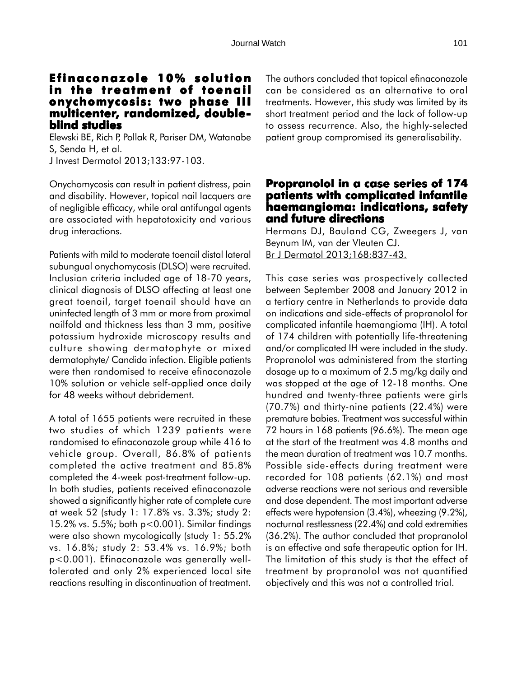#### **Efinaconazole 10% solution in the treatment of toenail in the treatment of toenail onychomycosis: two phase III onychomycosis: two III multicenter, randomized, doubleblind studies**

Elewski BE, Rich P, Pollak R, Pariser DM, Watanabe S, Senda H, et al. J Invest Dermatol 2013;133:97-103.

Onychomycosis can result in patient distress, pain and disability. However, topical nail lacquers are of negligible efficacy, while oral antifungal agents are associated with hepatotoxicity and various drug interactions.

Patients with mild to moderate toenail distal lateral subungual onychomycosis (DLSO) were recruited. Inclusion criteria included age of 18-70 years, clinical diagnosis of DLSO affecting at least one great toenail, target toenail should have an uninfected length of 3 mm or more from proximal nailfold and thickness less than 3 mm, positive potassium hydroxide microscopy results and culture showing dermatophyte or mixed dermatophyte/ Candida infection. Eligible patients were then randomised to receive efinaconazole 10% solution or vehicle self-applied once daily for 48 weeks without debridement.

A total of 1655 patients were recruited in these two studies of which 1239 patients were randomised to efinaconazole group while 416 to vehicle group. Overall, 86.8% of patients completed the active treatment and 85.8% completed the 4-week post-treatment follow-up. In both studies, patients received efinaconazole showed a significantly higher rate of complete cure at week 52 (study 1: 17.8% vs. 3.3%; study 2: 15.2% vs. 5.5%; both p<0.001). Similar findings were also shown mycologically (study 1: 55.2% vs. 16.8%; study 2: 53.4% vs. 16.9%; both p<0.001). Efinaconazole was generally welltolerated and only 2% experienced local site reactions resulting in discontinuation of treatment. The authors concluded that topical efinaconazole can be considered as an alternative to oral treatments. However, this study was limited by its short treatment period and the lack of follow-up to assess recurrence. Also, the highly-selected patient group compromised its generalisability.

# **Propranolol in a case series of 174 patients with complicated infantile haemangioma: indications, safety and future directions**

Hermans DJ, Bauland CG, Zweegers J, van Beynum IM, van der Vleuten CJ. Br J Dermatol 2013;168:837-43.

This case series was prospectively collected between September 2008 and January 2012 in a tertiary centre in Netherlands to provide data on indications and side-effects of propranolol for complicated infantile haemangioma (IH). A total of 174 children with potentially life-threatening and/or complicated IH were included in the study. Propranolol was administered from the starting dosage up to a maximum of 2.5 mg/kg daily and was stopped at the age of 12-18 months. One hundred and twenty-three patients were girls (70.7%) and thirty-nine patients (22.4%) were premature babies. Treatment was successful within 72 hours in 168 patients (96.6%). The mean age at the start of the treatment was 4.8 months and the mean duration of treatment was 10.7 months. Possible side-effects during treatment were recorded for 108 patients (62.1%) and most adverse reactions were not serious and reversible and dose dependent. The most important adverse effects were hypotension (3.4%), wheezing (9.2%), nocturnal restlessness (22.4%) and cold extremities (36.2%). The author concluded that propranolol is an effective and safe therapeutic option for IH. The limitation of this study is that the effect of treatment by propranolol was not quantified objectively and this was not a controlled trial.